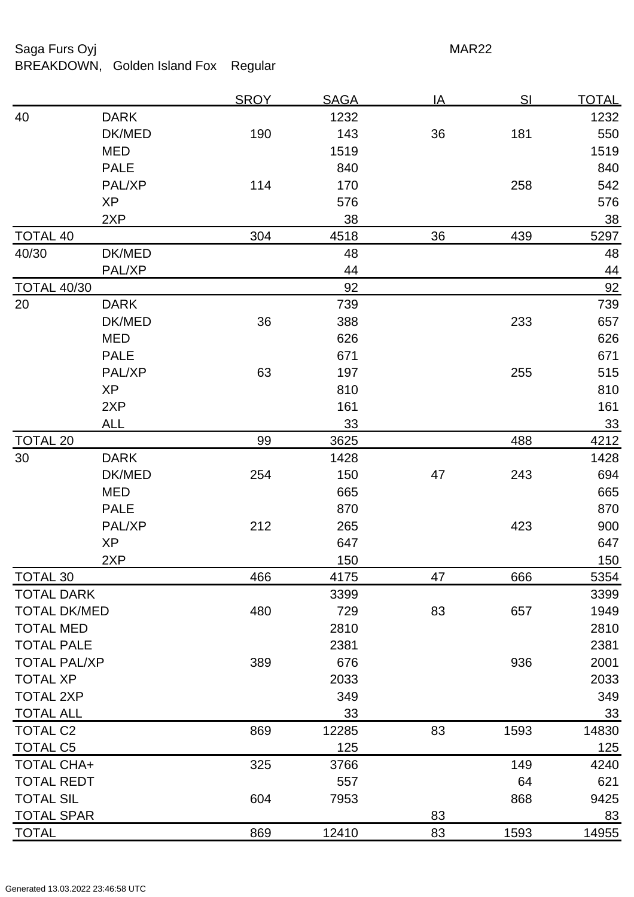## Saga Furs Oyj and the Saga Furs Oyj and the Saga Furs of the MAR22

BREAKDOWN, Golden Island Fox Regular

|                     |             | <u>SROY</u> | <b>SAGA</b> | <u>IA</u> | SI   | <u>TOTAL</u> |
|---------------------|-------------|-------------|-------------|-----------|------|--------------|
| 40                  | <b>DARK</b> |             | 1232        |           |      | 1232         |
|                     | DK/MED      | 190         | 143         | 36        | 181  | 550          |
|                     | <b>MED</b>  |             | 1519        |           |      | 1519         |
|                     | <b>PALE</b> |             | 840         |           |      | 840          |
|                     | PAL/XP      | 114         | 170         |           | 258  | 542          |
|                     | <b>XP</b>   |             | 576         |           |      | 576          |
|                     | 2XP         |             | 38          |           |      | 38           |
| <b>TOTAL 40</b>     |             | 304         | 4518        | 36        | 439  | 5297         |
| 40/30               | DK/MED      |             | 48          |           |      | 48           |
|                     | PAL/XP      |             | 44          |           |      | 44           |
| <b>TOTAL 40/30</b>  |             |             | 92          |           |      | 92           |
| 20                  | <b>DARK</b> |             | 739         |           |      | 739          |
|                     | DK/MED      | 36          | 388         |           | 233  | 657          |
|                     | <b>MED</b>  |             | 626         |           |      | 626          |
|                     | <b>PALE</b> |             | 671         |           |      | 671          |
|                     | PAL/XP      | 63          | 197         |           | 255  | 515          |
|                     | <b>XP</b>   |             | 810         |           |      | 810          |
|                     | 2XP         |             | 161         |           |      | 161          |
|                     | <b>ALL</b>  |             | 33          |           |      | 33           |
| <b>TOTAL 20</b>     |             | 99          | 3625        |           | 488  | 4212         |
| 30                  | <b>DARK</b> |             | 1428        |           |      | 1428         |
|                     | DK/MED      | 254         | 150         | 47        | 243  | 694          |
|                     | <b>MED</b>  |             | 665         |           |      | 665          |
|                     | <b>PALE</b> |             | 870         |           |      | 870          |
|                     | PAL/XP      | 212         | 265         |           | 423  | 900          |
|                     | <b>XP</b>   |             | 647         |           |      | 647          |
|                     | 2XP         |             | 150         |           |      | <u>150</u>   |
| TOTAL 30            |             | 466         | 4175        | 47        | 666  | 5354         |
| <b>TOTAL DARK</b>   |             |             | 3399        |           |      | 3399         |
| <b>TOTAL DK/MED</b> |             | 480         | 729         | 83        | 657  | 1949         |
| <b>TOTAL MED</b>    |             |             | 2810        |           |      | 2810         |
| <b>TOTAL PALE</b>   |             |             | 2381        |           |      | 2381         |
| <b>TOTAL PAL/XP</b> |             | 389         | 676         |           | 936  | 2001         |
| <b>TOTAL XP</b>     |             |             | 2033        |           |      | 2033         |
| <b>TOTAL 2XP</b>    |             |             | 349         |           |      | 349          |
| <b>TOTAL ALL</b>    |             |             | 33          |           |      | 33           |
| <b>TOTAL C2</b>     |             | 869         | 12285       | 83        | 1593 | 14830        |
| <b>TOTAL C5</b>     |             |             | 125         |           |      | 125          |
| <b>TOTAL CHA+</b>   |             | 325         | 3766        |           | 149  | 4240         |
| <b>TOTAL REDT</b>   |             |             | 557         |           | 64   | 621          |
| <b>TOTAL SIL</b>    |             | 604         | 7953        |           | 868  | 9425         |
| <b>TOTAL SPAR</b>   |             |             |             | 83        |      | 83           |
| <b>TOTAL</b>        |             | 869         | 12410       | 83        | 1593 | 14955        |
|                     |             |             |             |           |      |              |